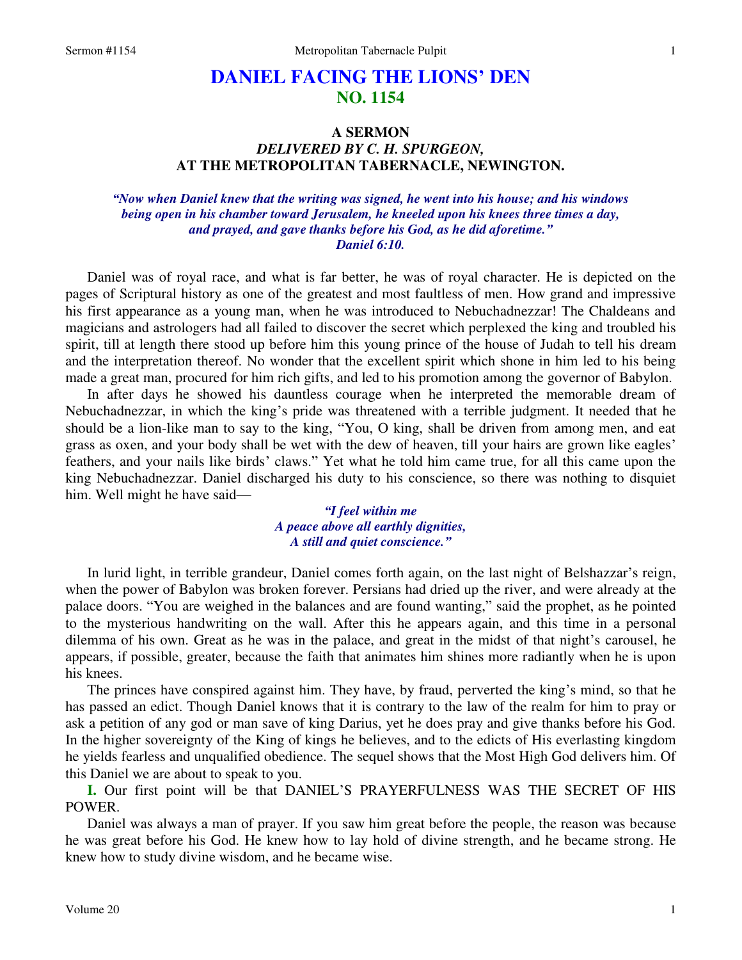# **DANIEL FACING THE LIONS' DEN NO. 1154**

# **A SERMON**  *DELIVERED BY C. H. SPURGEON,*  **AT THE METROPOLITAN TABERNACLE, NEWINGTON.**

### *"Now when Daniel knew that the writing was signed, he went into his house; and his windows being open in his chamber toward Jerusalem, he kneeled upon his knees three times a day, and prayed, and gave thanks before his God, as he did aforetime." Daniel 6:10.*

Daniel was of royal race, and what is far better, he was of royal character. He is depicted on the pages of Scriptural history as one of the greatest and most faultless of men. How grand and impressive his first appearance as a young man, when he was introduced to Nebuchadnezzar! The Chaldeans and magicians and astrologers had all failed to discover the secret which perplexed the king and troubled his spirit, till at length there stood up before him this young prince of the house of Judah to tell his dream and the interpretation thereof. No wonder that the excellent spirit which shone in him led to his being made a great man, procured for him rich gifts, and led to his promotion among the governor of Babylon.

In after days he showed his dauntless courage when he interpreted the memorable dream of Nebuchadnezzar, in which the king's pride was threatened with a terrible judgment. It needed that he should be a lion-like man to say to the king, "You, O king, shall be driven from among men, and eat grass as oxen, and your body shall be wet with the dew of heaven, till your hairs are grown like eagles' feathers, and your nails like birds' claws." Yet what he told him came true, for all this came upon the king Nebuchadnezzar. Daniel discharged his duty to his conscience, so there was nothing to disquiet him. Well might he have said—

> *"I feel within me A peace above all earthly dignities, A still and quiet conscience."*

In lurid light, in terrible grandeur, Daniel comes forth again, on the last night of Belshazzar's reign, when the power of Babylon was broken forever. Persians had dried up the river, and were already at the palace doors. "You are weighed in the balances and are found wanting," said the prophet, as he pointed to the mysterious handwriting on the wall. After this he appears again, and this time in a personal dilemma of his own. Great as he was in the palace, and great in the midst of that night's carousel, he appears, if possible, greater, because the faith that animates him shines more radiantly when he is upon his knees.

The princes have conspired against him. They have, by fraud, perverted the king's mind, so that he has passed an edict. Though Daniel knows that it is contrary to the law of the realm for him to pray or ask a petition of any god or man save of king Darius, yet he does pray and give thanks before his God. In the higher sovereignty of the King of kings he believes, and to the edicts of His everlasting kingdom he yields fearless and unqualified obedience. The sequel shows that the Most High God delivers him. Of this Daniel we are about to speak to you.

**I.** Our first point will be that DANIEL'S PRAYERFULNESS WAS THE SECRET OF HIS POWER.

Daniel was always a man of prayer. If you saw him great before the people, the reason was because he was great before his God. He knew how to lay hold of divine strength, and he became strong. He knew how to study divine wisdom, and he became wise.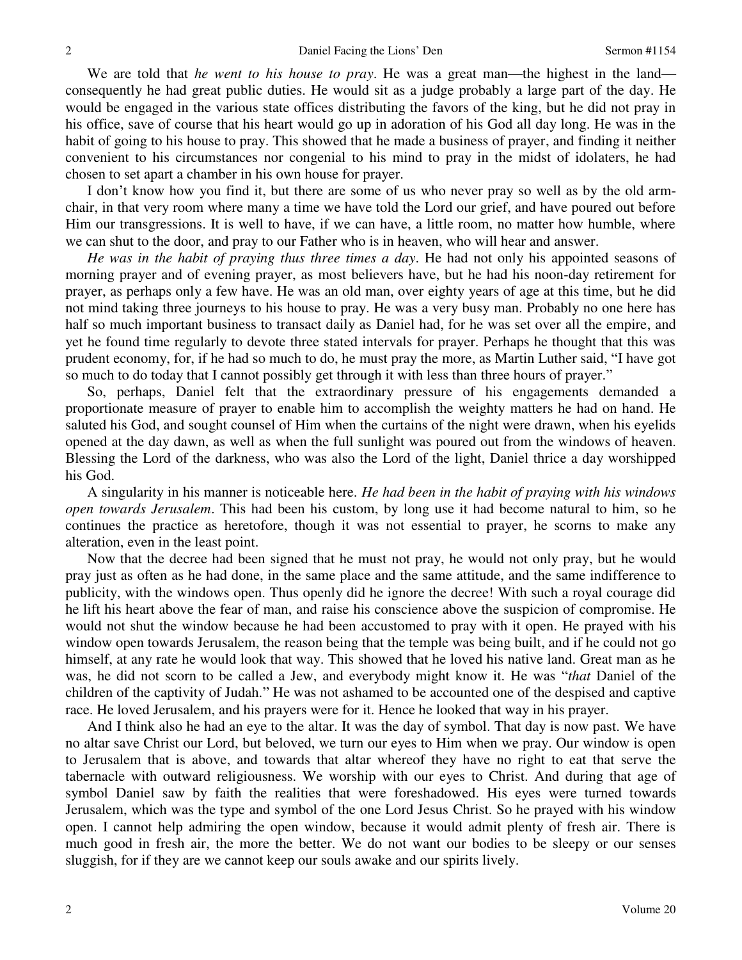We are told that *he went to his house to pray*. He was a great man—the highest in the land consequently he had great public duties. He would sit as a judge probably a large part of the day. He would be engaged in the various state offices distributing the favors of the king, but he did not pray in his office, save of course that his heart would go up in adoration of his God all day long. He was in the habit of going to his house to pray. This showed that he made a business of prayer, and finding it neither convenient to his circumstances nor congenial to his mind to pray in the midst of idolaters, he had chosen to set apart a chamber in his own house for prayer.

I don't know how you find it, but there are some of us who never pray so well as by the old armchair, in that very room where many a time we have told the Lord our grief, and have poured out before Him our transgressions. It is well to have, if we can have, a little room, no matter how humble, where we can shut to the door, and pray to our Father who is in heaven, who will hear and answer.

*He was in the habit of praying thus three times a day*. He had not only his appointed seasons of morning prayer and of evening prayer, as most believers have, but he had his noon-day retirement for prayer, as perhaps only a few have. He was an old man, over eighty years of age at this time, but he did not mind taking three journeys to his house to pray. He was a very busy man. Probably no one here has half so much important business to transact daily as Daniel had, for he was set over all the empire, and yet he found time regularly to devote three stated intervals for prayer. Perhaps he thought that this was prudent economy, for, if he had so much to do, he must pray the more, as Martin Luther said, "I have got so much to do today that I cannot possibly get through it with less than three hours of prayer."

So, perhaps, Daniel felt that the extraordinary pressure of his engagements demanded a proportionate measure of prayer to enable him to accomplish the weighty matters he had on hand. He saluted his God, and sought counsel of Him when the curtains of the night were drawn, when his eyelids opened at the day dawn, as well as when the full sunlight was poured out from the windows of heaven. Blessing the Lord of the darkness, who was also the Lord of the light, Daniel thrice a day worshipped his God.

A singularity in his manner is noticeable here. *He had been in the habit of praying with his windows open towards Jerusalem*. This had been his custom, by long use it had become natural to him, so he continues the practice as heretofore, though it was not essential to prayer, he scorns to make any alteration, even in the least point.

Now that the decree had been signed that he must not pray, he would not only pray, but he would pray just as often as he had done, in the same place and the same attitude, and the same indifference to publicity, with the windows open. Thus openly did he ignore the decree! With such a royal courage did he lift his heart above the fear of man, and raise his conscience above the suspicion of compromise. He would not shut the window because he had been accustomed to pray with it open. He prayed with his window open towards Jerusalem, the reason being that the temple was being built, and if he could not go himself, at any rate he would look that way. This showed that he loved his native land. Great man as he was, he did not scorn to be called a Jew, and everybody might know it. He was "*that* Daniel of the children of the captivity of Judah." He was not ashamed to be accounted one of the despised and captive race. He loved Jerusalem, and his prayers were for it. Hence he looked that way in his prayer.

And I think also he had an eye to the altar. It was the day of symbol. That day is now past. We have no altar save Christ our Lord, but beloved, we turn our eyes to Him when we pray. Our window is open to Jerusalem that is above, and towards that altar whereof they have no right to eat that serve the tabernacle with outward religiousness. We worship with our eyes to Christ. And during that age of symbol Daniel saw by faith the realities that were foreshadowed. His eyes were turned towards Jerusalem, which was the type and symbol of the one Lord Jesus Christ. So he prayed with his window open. I cannot help admiring the open window, because it would admit plenty of fresh air. There is much good in fresh air, the more the better. We do not want our bodies to be sleepy or our senses sluggish, for if they are we cannot keep our souls awake and our spirits lively.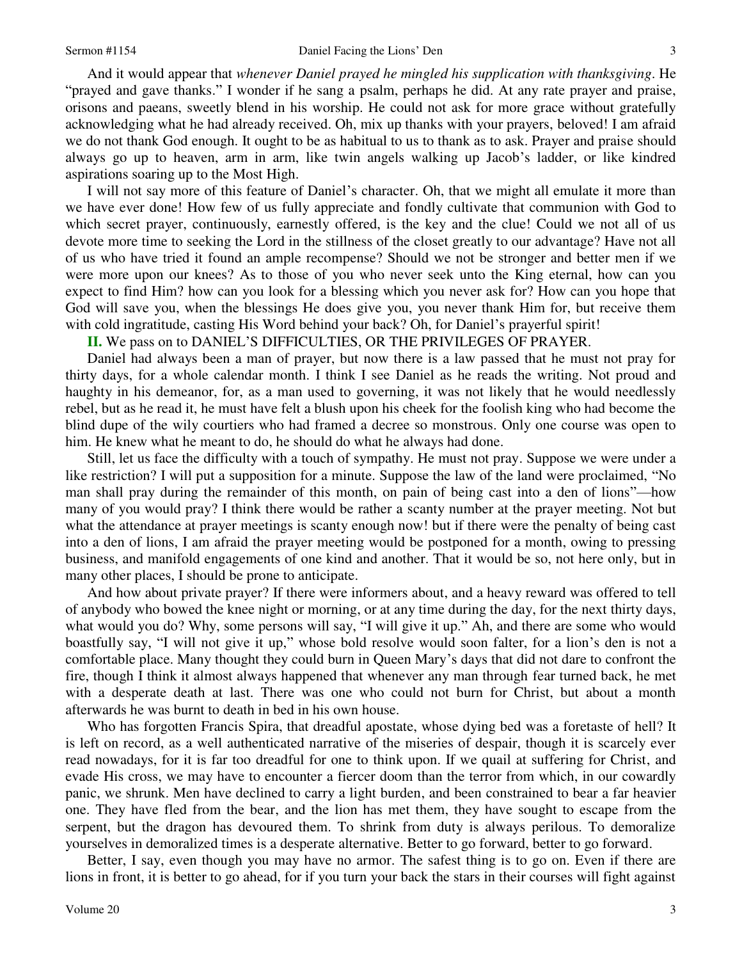And it would appear that *whenever Daniel prayed he mingled his supplication with thanksgiving*. He "prayed and gave thanks." I wonder if he sang a psalm, perhaps he did. At any rate prayer and praise, orisons and paeans, sweetly blend in his worship. He could not ask for more grace without gratefully acknowledging what he had already received. Oh, mix up thanks with your prayers, beloved! I am afraid we do not thank God enough. It ought to be as habitual to us to thank as to ask. Prayer and praise should always go up to heaven, arm in arm, like twin angels walking up Jacob's ladder, or like kindred aspirations soaring up to the Most High.

I will not say more of this feature of Daniel's character. Oh, that we might all emulate it more than we have ever done! How few of us fully appreciate and fondly cultivate that communion with God to which secret prayer, continuously, earnestly offered, is the key and the clue! Could we not all of us devote more time to seeking the Lord in the stillness of the closet greatly to our advantage? Have not all of us who have tried it found an ample recompense? Should we not be stronger and better men if we were more upon our knees? As to those of you who never seek unto the King eternal, how can you expect to find Him? how can you look for a blessing which you never ask for? How can you hope that God will save you, when the blessings He does give you, you never thank Him for, but receive them with cold ingratitude, casting His Word behind your back? Oh, for Daniel's prayerful spirit!

# **II.** We pass on to DANIEL'S DIFFICULTIES, OR THE PRIVILEGES OF PRAYER.

Daniel had always been a man of prayer, but now there is a law passed that he must not pray for thirty days, for a whole calendar month. I think I see Daniel as he reads the writing. Not proud and haughty in his demeanor, for, as a man used to governing, it was not likely that he would needlessly rebel, but as he read it, he must have felt a blush upon his cheek for the foolish king who had become the blind dupe of the wily courtiers who had framed a decree so monstrous. Only one course was open to him. He knew what he meant to do, he should do what he always had done.

Still, let us face the difficulty with a touch of sympathy. He must not pray. Suppose we were under a like restriction? I will put a supposition for a minute. Suppose the law of the land were proclaimed, "No man shall pray during the remainder of this month, on pain of being cast into a den of lions"—how many of you would pray? I think there would be rather a scanty number at the prayer meeting. Not but what the attendance at prayer meetings is scanty enough now! but if there were the penalty of being cast into a den of lions, I am afraid the prayer meeting would be postponed for a month, owing to pressing business, and manifold engagements of one kind and another. That it would be so, not here only, but in many other places, I should be prone to anticipate.

And how about private prayer? If there were informers about, and a heavy reward was offered to tell of anybody who bowed the knee night or morning, or at any time during the day, for the next thirty days, what would you do? Why, some persons will say, "I will give it up." Ah, and there are some who would boastfully say, "I will not give it up," whose bold resolve would soon falter, for a lion's den is not a comfortable place. Many thought they could burn in Queen Mary's days that did not dare to confront the fire, though I think it almost always happened that whenever any man through fear turned back, he met with a desperate death at last. There was one who could not burn for Christ, but about a month afterwards he was burnt to death in bed in his own house.

Who has forgotten Francis Spira, that dreadful apostate, whose dying bed was a foretaste of hell? It is left on record, as a well authenticated narrative of the miseries of despair, though it is scarcely ever read nowadays, for it is far too dreadful for one to think upon. If we quail at suffering for Christ, and evade His cross, we may have to encounter a fiercer doom than the terror from which, in our cowardly panic, we shrunk. Men have declined to carry a light burden, and been constrained to bear a far heavier one. They have fled from the bear, and the lion has met them, they have sought to escape from the serpent, but the dragon has devoured them. To shrink from duty is always perilous. To demoralize yourselves in demoralized times is a desperate alternative. Better to go forward, better to go forward.

Better, I say, even though you may have no armor. The safest thing is to go on. Even if there are lions in front, it is better to go ahead, for if you turn your back the stars in their courses will fight against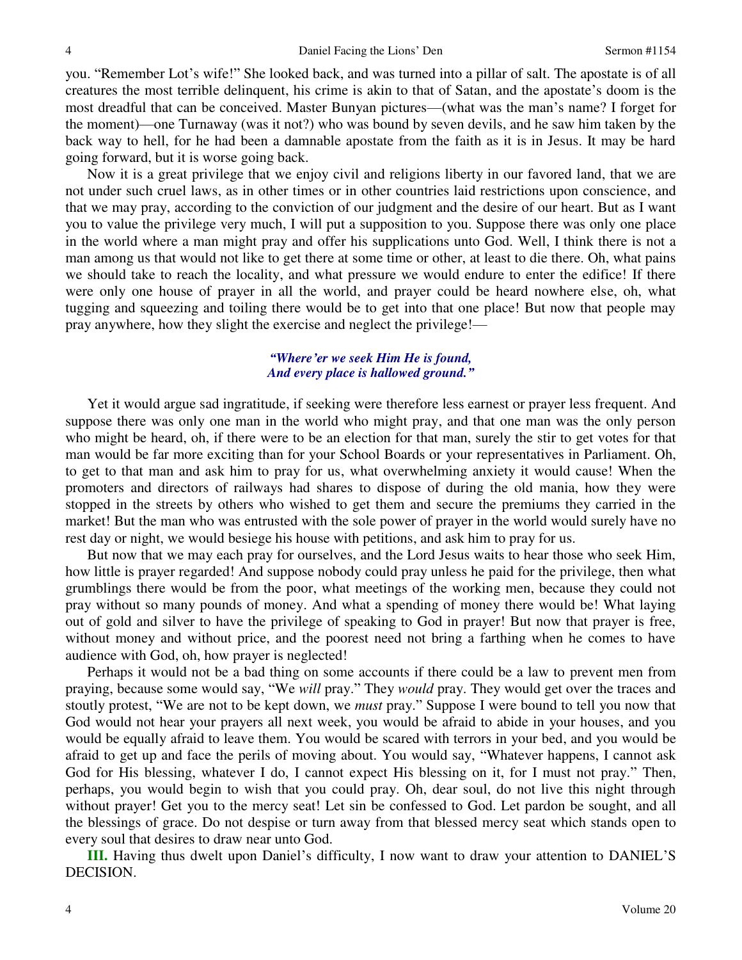you. "Remember Lot's wife!" She looked back, and was turned into a pillar of salt. The apostate is of all creatures the most terrible delinquent, his crime is akin to that of Satan, and the apostate's doom is the most dreadful that can be conceived. Master Bunyan pictures—(what was the man's name? I forget for the moment)—one Turnaway (was it not?) who was bound by seven devils, and he saw him taken by the back way to hell, for he had been a damnable apostate from the faith as it is in Jesus. It may be hard going forward, but it is worse going back.

Now it is a great privilege that we enjoy civil and religions liberty in our favored land, that we are not under such cruel laws, as in other times or in other countries laid restrictions upon conscience, and that we may pray, according to the conviction of our judgment and the desire of our heart. But as I want you to value the privilege very much, I will put a supposition to you. Suppose there was only one place in the world where a man might pray and offer his supplications unto God. Well, I think there is not a man among us that would not like to get there at some time or other, at least to die there. Oh, what pains we should take to reach the locality, and what pressure we would endure to enter the edifice! If there were only one house of prayer in all the world, and prayer could be heard nowhere else, oh, what tugging and squeezing and toiling there would be to get into that one place! But now that people may pray anywhere, how they slight the exercise and neglect the privilege!—

### *"Where'er we seek Him He is found, And every place is hallowed ground."*

 Yet it would argue sad ingratitude, if seeking were therefore less earnest or prayer less frequent. And suppose there was only one man in the world who might pray, and that one man was the only person who might be heard, oh, if there were to be an election for that man, surely the stir to get votes for that man would be far more exciting than for your School Boards or your representatives in Parliament. Oh, to get to that man and ask him to pray for us, what overwhelming anxiety it would cause! When the promoters and directors of railways had shares to dispose of during the old mania, how they were stopped in the streets by others who wished to get them and secure the premiums they carried in the market! But the man who was entrusted with the sole power of prayer in the world would surely have no rest day or night, we would besiege his house with petitions, and ask him to pray for us.

But now that we may each pray for ourselves, and the Lord Jesus waits to hear those who seek Him, how little is prayer regarded! And suppose nobody could pray unless he paid for the privilege, then what grumblings there would be from the poor, what meetings of the working men, because they could not pray without so many pounds of money. And what a spending of money there would be! What laying out of gold and silver to have the privilege of speaking to God in prayer! But now that prayer is free, without money and without price, and the poorest need not bring a farthing when he comes to have audience with God, oh, how prayer is neglected!

Perhaps it would not be a bad thing on some accounts if there could be a law to prevent men from praying, because some would say, "We *will* pray." They *would* pray. They would get over the traces and stoutly protest, "We are not to be kept down, we *must* pray." Suppose I were bound to tell you now that God would not hear your prayers all next week, you would be afraid to abide in your houses, and you would be equally afraid to leave them. You would be scared with terrors in your bed, and you would be afraid to get up and face the perils of moving about. You would say, "Whatever happens, I cannot ask God for His blessing, whatever I do, I cannot expect His blessing on it, for I must not pray." Then, perhaps, you would begin to wish that you could pray. Oh, dear soul, do not live this night through without prayer! Get you to the mercy seat! Let sin be confessed to God. Let pardon be sought, and all the blessings of grace. Do not despise or turn away from that blessed mercy seat which stands open to every soul that desires to draw near unto God.

**III.** Having thus dwelt upon Daniel's difficulty, I now want to draw your attention to DANIEL'S DECISION.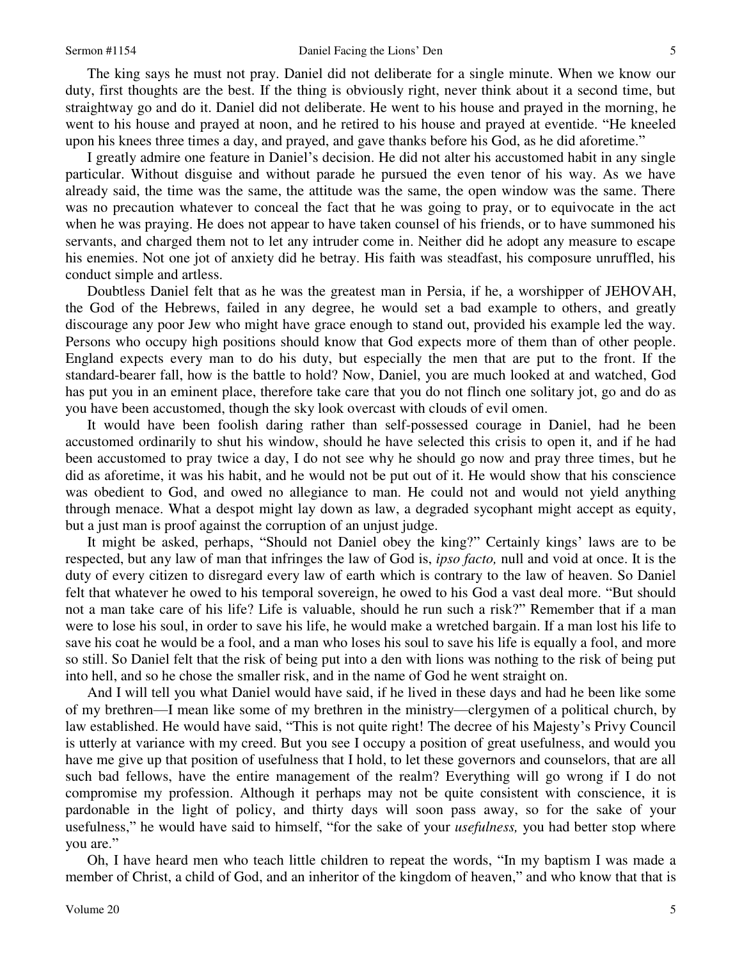The king says he must not pray. Daniel did not deliberate for a single minute. When we know our duty, first thoughts are the best. If the thing is obviously right, never think about it a second time, but straightway go and do it. Daniel did not deliberate. He went to his house and prayed in the morning, he went to his house and prayed at noon, and he retired to his house and prayed at eventide. "He kneeled upon his knees three times a day, and prayed, and gave thanks before his God, as he did aforetime."

I greatly admire one feature in Daniel's decision. He did not alter his accustomed habit in any single particular. Without disguise and without parade he pursued the even tenor of his way. As we have already said, the time was the same, the attitude was the same, the open window was the same. There was no precaution whatever to conceal the fact that he was going to pray, or to equivocate in the act when he was praying. He does not appear to have taken counsel of his friends, or to have summoned his servants, and charged them not to let any intruder come in. Neither did he adopt any measure to escape his enemies. Not one jot of anxiety did he betray. His faith was steadfast, his composure unruffled, his conduct simple and artless.

Doubtless Daniel felt that as he was the greatest man in Persia, if he, a worshipper of JEHOVAH, the God of the Hebrews, failed in any degree, he would set a bad example to others, and greatly discourage any poor Jew who might have grace enough to stand out, provided his example led the way. Persons who occupy high positions should know that God expects more of them than of other people. England expects every man to do his duty, but especially the men that are put to the front. If the standard-bearer fall, how is the battle to hold? Now, Daniel, you are much looked at and watched, God has put you in an eminent place, therefore take care that you do not flinch one solitary jot, go and do as you have been accustomed, though the sky look overcast with clouds of evil omen.

It would have been foolish daring rather than self-possessed courage in Daniel, had he been accustomed ordinarily to shut his window, should he have selected this crisis to open it, and if he had been accustomed to pray twice a day, I do not see why he should go now and pray three times, but he did as aforetime, it was his habit, and he would not be put out of it. He would show that his conscience was obedient to God, and owed no allegiance to man. He could not and would not yield anything through menace. What a despot might lay down as law, a degraded sycophant might accept as equity, but a just man is proof against the corruption of an unjust judge.

It might be asked, perhaps, "Should not Daniel obey the king?" Certainly kings' laws are to be respected, but any law of man that infringes the law of God is, *ipso facto,* null and void at once. It is the duty of every citizen to disregard every law of earth which is contrary to the law of heaven. So Daniel felt that whatever he owed to his temporal sovereign, he owed to his God a vast deal more. "But should not a man take care of his life? Life is valuable, should he run such a risk?" Remember that if a man were to lose his soul, in order to save his life, he would make a wretched bargain. If a man lost his life to save his coat he would be a fool, and a man who loses his soul to save his life is equally a fool, and more so still. So Daniel felt that the risk of being put into a den with lions was nothing to the risk of being put into hell, and so he chose the smaller risk, and in the name of God he went straight on.

And I will tell you what Daniel would have said, if he lived in these days and had he been like some of my brethren—I mean like some of my brethren in the ministry—clergymen of a political church, by law established. He would have said, "This is not quite right! The decree of his Majesty's Privy Council is utterly at variance with my creed. But you see I occupy a position of great usefulness, and would you have me give up that position of usefulness that I hold, to let these governors and counselors, that are all such bad fellows, have the entire management of the realm? Everything will go wrong if I do not compromise my profession. Although it perhaps may not be quite consistent with conscience, it is pardonable in the light of policy, and thirty days will soon pass away, so for the sake of your usefulness," he would have said to himself, "for the sake of your *usefulness,* you had better stop where you are."

Oh, I have heard men who teach little children to repeat the words, "In my baptism I was made a member of Christ, a child of God, and an inheritor of the kingdom of heaven," and who know that that is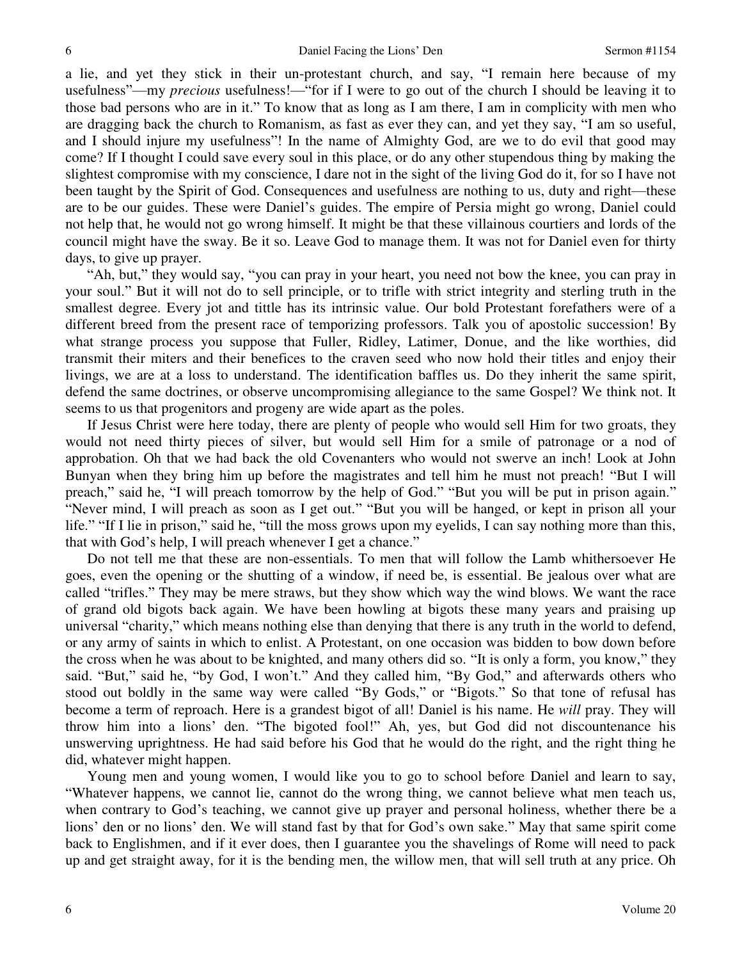a lie, and yet they stick in their un-protestant church, and say, "I remain here because of my usefulness"—my *precious* usefulness!—"for if I were to go out of the church I should be leaving it to those bad persons who are in it." To know that as long as I am there, I am in complicity with men who are dragging back the church to Romanism, as fast as ever they can, and yet they say, "I am so useful, and I should injure my usefulness"! In the name of Almighty God, are we to do evil that good may come? If I thought I could save every soul in this place, or do any other stupendous thing by making the slightest compromise with my conscience, I dare not in the sight of the living God do it, for so I have not been taught by the Spirit of God. Consequences and usefulness are nothing to us, duty and right—these are to be our guides. These were Daniel's guides. The empire of Persia might go wrong, Daniel could not help that, he would not go wrong himself. It might be that these villainous courtiers and lords of the council might have the sway. Be it so. Leave God to manage them. It was not for Daniel even for thirty days, to give up prayer.

"Ah, but," they would say, "you can pray in your heart, you need not bow the knee, you can pray in your soul." But it will not do to sell principle, or to trifle with strict integrity and sterling truth in the smallest degree. Every jot and tittle has its intrinsic value. Our bold Protestant forefathers were of a different breed from the present race of temporizing professors. Talk you of apostolic succession! By what strange process you suppose that Fuller, Ridley, Latimer, Donue, and the like worthies, did transmit their miters and their benefices to the craven seed who now hold their titles and enjoy their livings, we are at a loss to understand. The identification baffles us. Do they inherit the same spirit, defend the same doctrines, or observe uncompromising allegiance to the same Gospel? We think not. It seems to us that progenitors and progeny are wide apart as the poles.

If Jesus Christ were here today, there are plenty of people who would sell Him for two groats, they would not need thirty pieces of silver, but would sell Him for a smile of patronage or a nod of approbation. Oh that we had back the old Covenanters who would not swerve an inch! Look at John Bunyan when they bring him up before the magistrates and tell him he must not preach! "But I will preach," said he, "I will preach tomorrow by the help of God." "But you will be put in prison again." "Never mind, I will preach as soon as I get out." "But you will be hanged, or kept in prison all your life." "If I lie in prison," said he, "till the moss grows upon my eyelids, I can say nothing more than this, that with God's help, I will preach whenever I get a chance."

Do not tell me that these are non-essentials. To men that will follow the Lamb whithersoever He goes, even the opening or the shutting of a window, if need be, is essential. Be jealous over what are called "trifles." They may be mere straws, but they show which way the wind blows. We want the race of grand old bigots back again. We have been howling at bigots these many years and praising up universal "charity," which means nothing else than denying that there is any truth in the world to defend, or any army of saints in which to enlist. A Protestant, on one occasion was bidden to bow down before the cross when he was about to be knighted, and many others did so. "It is only a form, you know," they said. "But," said he, "by God, I won't." And they called him, "By God," and afterwards others who stood out boldly in the same way were called "By Gods," or "Bigots." So that tone of refusal has become a term of reproach. Here is a grandest bigot of all! Daniel is his name. He *will* pray. They will throw him into a lions' den. "The bigoted fool!" Ah, yes, but God did not discountenance his unswerving uprightness. He had said before his God that he would do the right, and the right thing he did, whatever might happen.

Young men and young women, I would like you to go to school before Daniel and learn to say, "Whatever happens, we cannot lie, cannot do the wrong thing, we cannot believe what men teach us, when contrary to God's teaching, we cannot give up prayer and personal holiness, whether there be a lions' den or no lions' den. We will stand fast by that for God's own sake." May that same spirit come back to Englishmen, and if it ever does, then I guarantee you the shavelings of Rome will need to pack up and get straight away, for it is the bending men, the willow men, that will sell truth at any price. Oh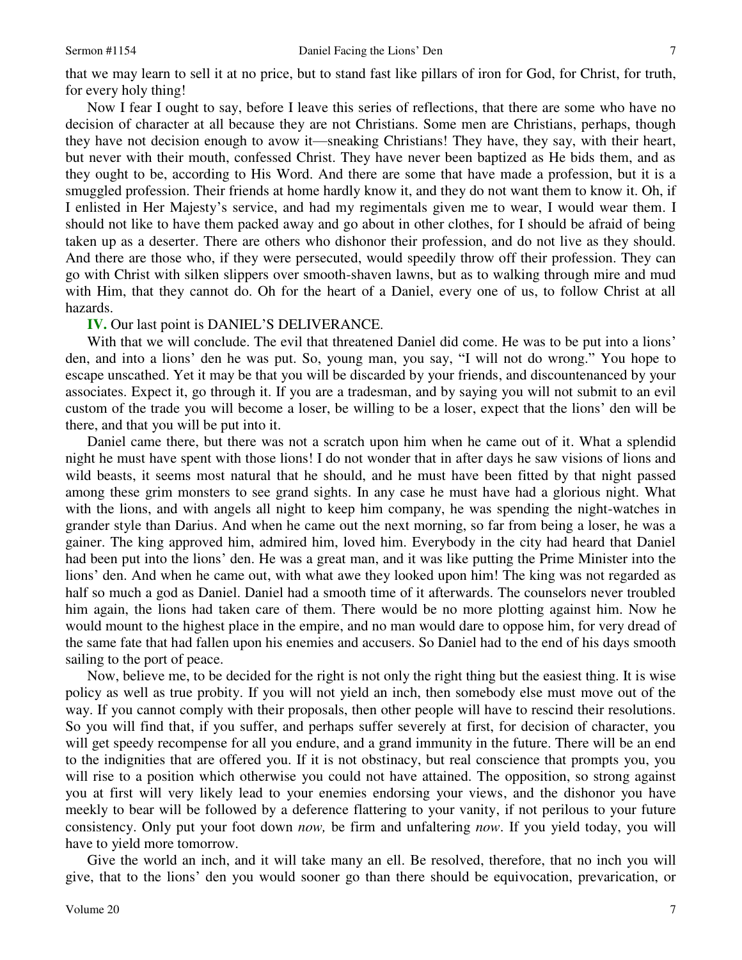that we may learn to sell it at no price, but to stand fast like pillars of iron for God, for Christ, for truth, for every holy thing!

Now I fear I ought to say, before I leave this series of reflections, that there are some who have no decision of character at all because they are not Christians. Some men are Christians, perhaps, though they have not decision enough to avow it—sneaking Christians! They have, they say, with their heart, but never with their mouth, confessed Christ. They have never been baptized as He bids them, and as they ought to be, according to His Word. And there are some that have made a profession, but it is a smuggled profession. Their friends at home hardly know it, and they do not want them to know it. Oh, if I enlisted in Her Majesty's service, and had my regimentals given me to wear, I would wear them. I should not like to have them packed away and go about in other clothes, for I should be afraid of being taken up as a deserter. There are others who dishonor their profession, and do not live as they should. And there are those who, if they were persecuted, would speedily throw off their profession. They can go with Christ with silken slippers over smooth-shaven lawns, but as to walking through mire and mud with Him, that they cannot do. Oh for the heart of a Daniel, every one of us, to follow Christ at all hazards.

#### **IV.** Our last point is DANIEL'S DELIVERANCE.

With that we will conclude. The evil that threatened Daniel did come. He was to be put into a lions' den, and into a lions' den he was put. So, young man, you say, "I will not do wrong." You hope to escape unscathed. Yet it may be that you will be discarded by your friends, and discountenanced by your associates. Expect it, go through it. If you are a tradesman, and by saying you will not submit to an evil custom of the trade you will become a loser, be willing to be a loser, expect that the lions' den will be there, and that you will be put into it.

Daniel came there, but there was not a scratch upon him when he came out of it. What a splendid night he must have spent with those lions! I do not wonder that in after days he saw visions of lions and wild beasts, it seems most natural that he should, and he must have been fitted by that night passed among these grim monsters to see grand sights. In any case he must have had a glorious night. What with the lions, and with angels all night to keep him company, he was spending the night-watches in grander style than Darius. And when he came out the next morning, so far from being a loser, he was a gainer. The king approved him, admired him, loved him. Everybody in the city had heard that Daniel had been put into the lions' den. He was a great man, and it was like putting the Prime Minister into the lions' den. And when he came out, with what awe they looked upon him! The king was not regarded as half so much a god as Daniel. Daniel had a smooth time of it afterwards. The counselors never troubled him again, the lions had taken care of them. There would be no more plotting against him. Now he would mount to the highest place in the empire, and no man would dare to oppose him, for very dread of the same fate that had fallen upon his enemies and accusers. So Daniel had to the end of his days smooth sailing to the port of peace.

Now, believe me, to be decided for the right is not only the right thing but the easiest thing. It is wise policy as well as true probity. If you will not yield an inch, then somebody else must move out of the way. If you cannot comply with their proposals, then other people will have to rescind their resolutions. So you will find that, if you suffer, and perhaps suffer severely at first, for decision of character, you will get speedy recompense for all you endure, and a grand immunity in the future. There will be an end to the indignities that are offered you. If it is not obstinacy, but real conscience that prompts you, you will rise to a position which otherwise you could not have attained. The opposition, so strong against you at first will very likely lead to your enemies endorsing your views, and the dishonor you have meekly to bear will be followed by a deference flattering to your vanity, if not perilous to your future consistency. Only put your foot down *now,* be firm and unfaltering *now*. If you yield today, you will have to yield more tomorrow.

Give the world an inch, and it will take many an ell. Be resolved, therefore, that no inch you will give, that to the lions' den you would sooner go than there should be equivocation, prevarication, or